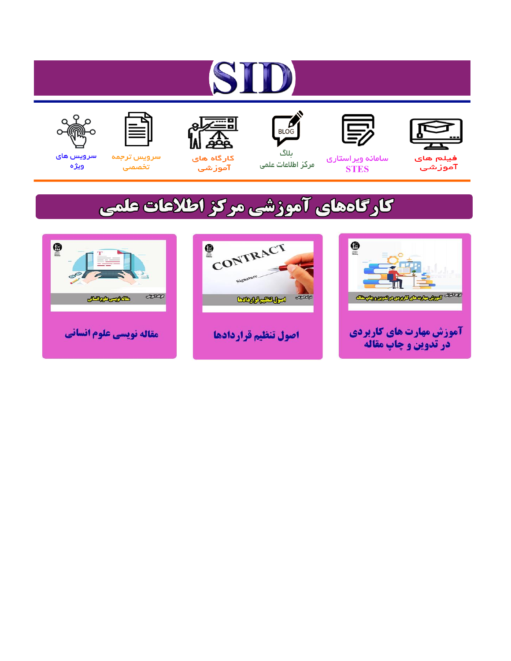# ST











مرکز اطلاعات علمی

 $\frac{1}{\sqrt{\frac{1}{100}}}$ ىلاگ



آموزشي

空

سرويس ترجمه تخصصى



سرویس های ويژه

## كارگاههای آموزشی مركز اطلاعات علمی





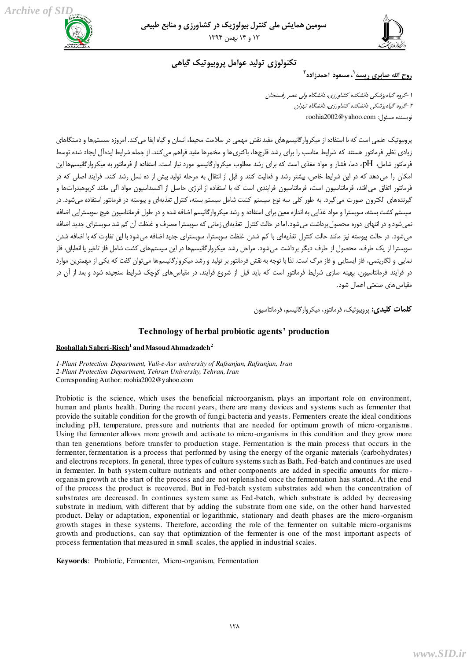

### تكنولوژي توليد عوامل پروبيوتيک گياهي

روح الله صابرى ريسه<sup>(</sup>، مسعود احمدزاده<sup>۲</sup>

1 - *گروه گياه پزشكي دانشكده كشاورزي، دانشگاه ولي عصر رفسنجان* 1 - گروه گياه پزشكي دانشكده كشاورزي، دانشگاه تهران نويسنده مسئول: roohia2002@yahoo.com

یروبیوتیک علمی است که با استفاده از میکروارگانیسمهای مفید نقش مهمی در سلامت محیط، انسان و گیاه ایفا می کند. امروزه سیستمها و دستگاهای زيادى نظير فرمانتور هستند كه شرايط مناسب را براى رشد قارچها، باكترىھا و مخمرها مفيد فراهچ مے كنند. از حمله شرايط ايدهآل ايجاد شده توسط فرمانتور شامل، pH، دما، فشار و مواد مغذى است كه براى رشد مطلوب ميكروارگانيسم مورد نياز است. استفاده از فرمانتور به ميكروارگانيسمها اين امکان را می دهد که در این شرایط خاص، بیشتر رشد و فعالیت کنند و قبل از انتقال به مرحله تولید بیش از ده نسل رشد کنند. فرایند اصلی که در .<br>فرمانتور اتفاق مى افتد، فرمانتاسيون است، فرمانتاسيون فرايندى است كه با استفاده از انرژى حاصل از اكسيداسيون مواد آلى مانند كربوهيدراتها و گيرندههاى الكترون صورت مى گيرد. به طور كلى سه نوع سيستم كشت شامل سيستم بسته، كنترل تغذيهاى و پيوسته در فرمانتور استفاده مى شود. در سیستم کشت بسته، سوبسترا و مواد غذایی به اندازه معین برای استفاده و رشد میکروارگانیسم اضافه شده و در طول فرمانتاسیون هیچ سوبسترایی اضافه نمى شود و در انتهاى دوره محصول برداشت مى شود. اما در حالت كنترل تغذيهاى زمانى كه سوبسترا مصرف و غلظت آن كم شد سوبستراى جديد اضافه مى شود. در حالت پيوسته نيز مانند حالت كنترل تغذيهاى با كم شدن غلظت سوبسترا، سوبستراى جديد اضافه مى شود با اين تفاوت كه با اضافه شدن سوبسترا از یک طرف، محصول از طرف دیگر برداشت می شود. مراحل رشد میکروارگانیسمها در این سیستمهای کشت شامل فاز تاخیر یا انطباق، فاز نمایی و لگاریتمی، فاز ایستایی و فاز مرگ است. لذا با توجه به نقش فرمانتور بر تولید و رشد میکروارگانیسمها میتوان گفت که یکی از مهمترین موارد در فرایند فرمانتاسیون، بهینه سازی شرایط فرمانتور است که باید قبل از شروع فرایند، در مقیاس های کوچک شرایط سنجیده شود و بعد از آن در مقياس هاى صنعتى اعمال شود.

**َکلمات کلیدی:** پروبیوتیک، فرمانتور، میکروارگانیسم، فرمانتاسیون

#### **Technology of herbal probiotic agents' production**

#### **Roohallah Saberi-Riseh<sup>1</sup> and Masoud Ahmadzadeh<sup>2</sup>**

*1-Plant Protection Department, Vali-e-Asr university of Rafsanjan, Rafsanjan, Iran 2-Plant Protection Department, Tehran University, Tehran, Iran* Corresponding Author: roohia2002@yahoo.com

Probiotic is the science, which uses the beneficial microorganism, plays an important role on environment, human and plants health. During the recent years, there are many devices and systems such as fermenter that provide the suitable condition for the growth of fungi, bacteria and yeasts. Fermenters create the ideal conditions including pH, temperature, pressure and nutrients that are needed for optimum growth of micro -organisms. Using the fermenter allows more growth and activate to micro-organisms in this condition and they grow more than ten generations before transfer to production stage. Fermentation is the main process that occurs in the fermenter, fermentation is a process that performed by using the energy of the organic materials (carbohydrates) and electrons receptors. In general, three types of culture systems such as Bath, Fed-batch and continues are used in fermenter. In bath system culture nutrients and other components are added in specific amounts for micro organism growth at the start of the process and are not replenished once the fermentation has started. At the end of the process the product is recovered. But in Fed-batch system substrates add when the concentration of substrates are decreased. In continues system same as Fed-batch, which substrate is added by decreasing substrate in medium, with different that by adding the substrate from one side, on the other hand harvested product. Delay or adaptation, exponential or logarithmic, stationary and death phases are the micro -organism growth stages in these systems. Therefore, according the role of the fermenter on suitable micro-organisms growth and productions, can say that optimization of the fermenter is one of the most important aspects of process fermentation that measured in small scales, the applied in industrial scales.

**Keywords**: Probiotic, Fermenter, Micro-organism, Fermentation